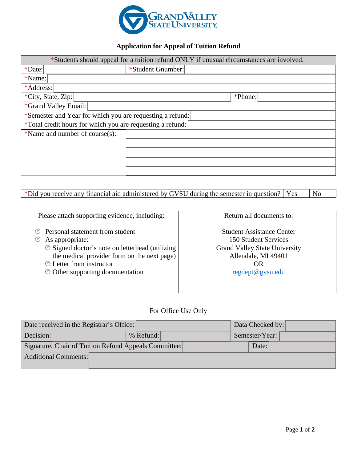

## **Application for Appeal of Tuition Refund**

| *Students should appeal for a tuition refund ONLY if unusual circumstances are involved. |                   |         |  |  |
|------------------------------------------------------------------------------------------|-------------------|---------|--|--|
| *Date:                                                                                   | *Student Gnumber: |         |  |  |
| *Name:                                                                                   |                   |         |  |  |
| *Address:                                                                                |                   |         |  |  |
| *City, State, Zip:                                                                       |                   | *Phone: |  |  |
| *Grand Valley Email:                                                                     |                   |         |  |  |
| *Semester and Year for which you are requesting a refund:                                |                   |         |  |  |
| *Total credit hours for which you are requesting a refund:                               |                   |         |  |  |
| *Name and number of course(s):                                                           |                   |         |  |  |
|                                                                                          |                   |         |  |  |
|                                                                                          |                   |         |  |  |
|                                                                                          |                   |         |  |  |
|                                                                                          |                   |         |  |  |

|  |  | *Did you receive any financial aid administered by GVSU during the semester in question?   Yes $\Box$ No |  |  |  |
|--|--|----------------------------------------------------------------------------------------------------------|--|--|--|
|  |  |                                                                                                          |  |  |  |

| Please attach supporting evidence, including:                                                                                                                                                                                                                                         | Return all documents to:                                                                                                                                        |
|---------------------------------------------------------------------------------------------------------------------------------------------------------------------------------------------------------------------------------------------------------------------------------------|-----------------------------------------------------------------------------------------------------------------------------------------------------------------|
| Personal statement from student<br>(Y)<br>As appropriate:<br>$\circledcirc$<br><b> <b> </b> Signed doctor's note on letterhead (utilizing</b><br>the medical provider form on the next page)<br><b><i><sup>①</sup> Letter from instructor</i></b><br>© Other supporting documentation | <b>Student Assistance Center</b><br><b>150 Student Services</b><br><b>Grand Valley State University</b><br>Allendale, MI 49401<br><b>OR</b><br>regdept@gysu.edu |

## For Office Use Only

| Date received in the Registrar's Office:              |             | Data Checked by: |
|-------------------------------------------------------|-------------|------------------|
| Decision:                                             | $%$ Refund: | Semester/Year:   |
| Signature, Chair of Tuition Refund Appeals Committee: |             | Date:            |
| Additional Comments:                                  |             |                  |